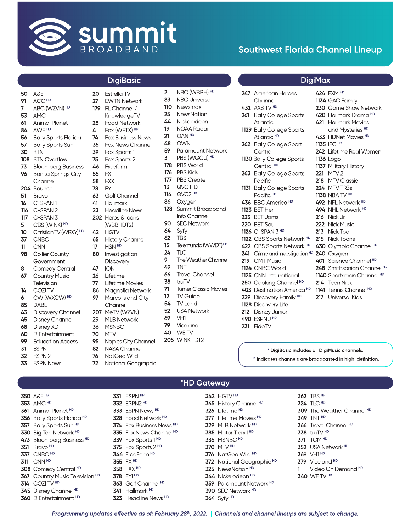

# **Southwest Florida Channel Lineup**

# **DigiBasic**

| 50  | A&E                         | 20  | Estre       |
|-----|-----------------------------|-----|-------------|
| 91  | ACC <sup>HD</sup>           | 27  | EWT         |
| 7   | ABC (WZVN) HD               | 179 | FL CI       |
| 53  | <b>AMC</b>                  |     | Knov        |
| 61  | <b>Animal Planet</b>        | 28  | Fooc        |
| 84  | AWE <sup>HD</sup>           | 4   | Fox ('      |
| 56  | <b>Bally Sports Florida</b> | 74  | Fox E       |
| 57  | <b>Bally Sports Sun</b>     | 35  | Fox N       |
| 30  | BTN                         | 39  | Fox S       |
| 108 | <b>BTN Overflow</b>         | 75  | Fox S       |
| 73  | <b>Bloomberg Business</b>   | 46  | Freef       |
| 96  | Bonita Springs City         | 55  | FX          |
|     | Channel                     | 58  | <b>FXX</b>  |
|     | 204 Bounce                  | 78  | <b>FYI</b>  |
| 51  | <b>Bravo</b>                | 63  | Golf        |
| 16  | C-SPAN1                     | 41  | Halln       |
| 116 | C-SPAN 2                    | 23  | Head        |
| 117 | C-SPAN <sub>3</sub>         | 202 | Hero        |
| 5   | CBS (WINK) HD               |     | (WBE        |
| 10  | Christian TV (WRXY) HD      | 42  | HGT         |
| 37  | <b>CNBC</b>                 | 65  | Histo       |
| 11  | <b>CNN</b>                  | 17  | <b>HSN</b>  |
| 98  | Collier County              | 80  | Inves       |
|     | Government                  |     | Disco       |
| 8   | Comedy Central              | 47  | <b>ION</b>  |
| 67  | <b>Country Music</b>        | 26  | Lifeti      |
|     | Television                  | 77  | Lifeti      |
| 14  | COZITV                      | 86  | Mag         |
| 6   | CW (WXCW) HD                | 97  | Marc        |
| 85  | DABL                        |     | Char        |
| 43  | Discovery Channel           | 207 | MeT         |
| 45  | Disney Channel              | 29  | MLB         |
| 68  | Disney XD                   | 36  | <b>MSN</b>  |
| 60  | E! Entertainment            | 70  | <b>MTV</b>  |
| 99  | <b>Education Access</b>     | 95  | Napl        |
| 31  | <b>ESPN</b>                 | 82  | NAS/        |
| 70  | <b>ECDNIO</b>               | 74. | $N \sim +C$ |

**ESPN** 32 ESPN 2

33 **ESPN News** 

50 A&E

- lla TV N Network  $\cap$ annel  $/$ vledgeTV d Network 19 WFTX) HD **Business News Vews Channel** Sports 1 3 Sports<sub>2</sub> ʻorm Channel **nark** dline News s & Icons 3HDT2) V bry Channel 15 HD stigation 9 overy me me Movies 71 nolia Network  $12$ to Island City anel V (WZVN) **Network BC 205 WINK-DT2** es City Channel A Channel
- 

331 ESPN HD

332 ESPN2 HD

333 ESPN News HD

339 Fox Sports 1HD

375 Fox Sports 2 HD

363 Golf Channel HD

323 Headline News HD

341 Hallmark HD

346 FreeForm HD

355 FX HD

358 FXX HD

378 FYI HD

328 Food Network HD

374 Fox Business News HD

335 Fox News Channel HD

- 
- $\overline{2}$ NBC (WBBH) HD **NBC Universo** 83 110 Newsmax 25 NewsNation Nickelodeon  $44$ NOAA Radar OAN HD  $21$ 48 OWN 59 Paramount Network PBS (WGCU) HD 178 PBS World 176 PBS Kids 177 PBS Create QVC HD  $13<sup>7</sup>$ 114 QVC2 HD Oxygen 86 128 Summit Broadband Info Channel 90 **SEC Network** 64 Svfv 62 **TBS** Telemundo (WWDT) HD  $24$ **TLC** The Weather Channel 49 **TNT Travel Channel** 66 38 truTV **Turner Classic Movies** TV Guide TV Land 54 52 **USA Network** 69 VH1 79 Viceland 40 WE TV

# **DigiMax**

424 FXM HD

1134 GAC Family

230 Game Show Network

420 Hallmark Drama HD

| 247 American Heroes                              |
|--------------------------------------------------|
| Channel                                          |
| 432 AXS TV HD                                    |
| 261 Bally College Sports                         |
| Atlantic                                         |
| 1129 Bally College Sports                        |
| Atlantic HD                                      |
| 262 Bally College Sport                          |
| Central                                          |
| 1130 Bally College Sports                        |
| Central HD                                       |
| 263 Bally College Sports                         |
| Pacific                                          |
| 1131 Bally College Sports                        |
| Pacific HD                                       |
| 436 BBC America HD                               |
| 1123 BET Her                                     |
| 223 BET Jams                                     |
| 220 BET Soul                                     |
| 1126 C-SPAN 3 HD                                 |
| 1122 CBS Sports Network HD                       |
| 422 CBS Sports Network HD                        |
| 241 Crime and Investigation HD                   |
| 219 CMT Music                                    |
| 1124 CNBC World                                  |
| 1125 CNN International                           |
| 250 Cooking Channel HD                           |
| 403 Destination America HD                       |
| $\sim$ $\sim$ $\sim$ $\sim$ $\sim$ $\sim$ $\sim$ |

- 229 Discovery Family HD
- 1128 Discovery Life
- 212 Disney Junior
- 490 ESPNU HD
- 231 FidoTV

421 Hallmark Movies and Mysteries HD 433 HDNet Movies HD 1135 IFC <sup>HD</sup> 242 Lifetime Real Women **1136** Logo 1137 Military History **221 MTV 2** 218 MTV Classic 224 MTV TR3s **1138 NBA TV HD** 492 NFL Network HD 494 NHL Network HD **216** Nick Jr. 222 Nick Music 213 Nick Too 215 Nick Toons 430 Olympic Channel HD 240 Oxygen 401 Science Channel HD 248 Smithsonian Channel HD 1140 Sportsman Channel HD 214 Teen Nick 1141 Tennis Channel HD

- 217 Universal Kids
- 

\* DigiBasic includes all DigiMusic channels.

HD indicates channels are broadcasted in high-definition.

362 TBS HD

324 TLC HD

349 TNT HD

338 truTV HD

371 TCM HD

369 VH1 HD

1

379 Viceland HD

309 The Weather Channel HD

Video On Demand HD

366 Travel Channel HD

352 USA Network HD

350 A&E HD 353 AMC HD 361 Animal Planet HD 356 Bally Sports Florida <sup>HD</sup> 357 Bally Sports Sun HD 330 Big Ten Network HD 473 Bloomberg Business HD 351 Bravo<sup>HD</sup> 337 CNBC HD 311 CNN HD 308 Comedy Central HD 367 Country Music Television HD 314 COZI TV HD 345 Disney Channel HD 360 E! Entertainment HD

- \*HD Gateway
	- 365 History Channel HD 326 Lifetime HD 377 Lifetime Movies HD 329 MLB Network HD 385 Motor Trend HD 336 MSNBC HD 370 MTV HD 376 NatGeo Wild HD
	- 325 NewsNation HD
	- 344 Nickelodeon<sup>HD</sup>
	-
	- 390 SEC Network HD
	- 364 Syfy HD

Programming updates effective as of: February 28<sup>th</sup>, 2022. | Channels and channel lineups are subject to change.

- - NatGeo Wild 76
		- $72$ National Geographic

- 342 HGTV HD
- 
- 
- 
- 372 National Geographic HD

- 340 WE TV HD
- 359 Paramount Network HD